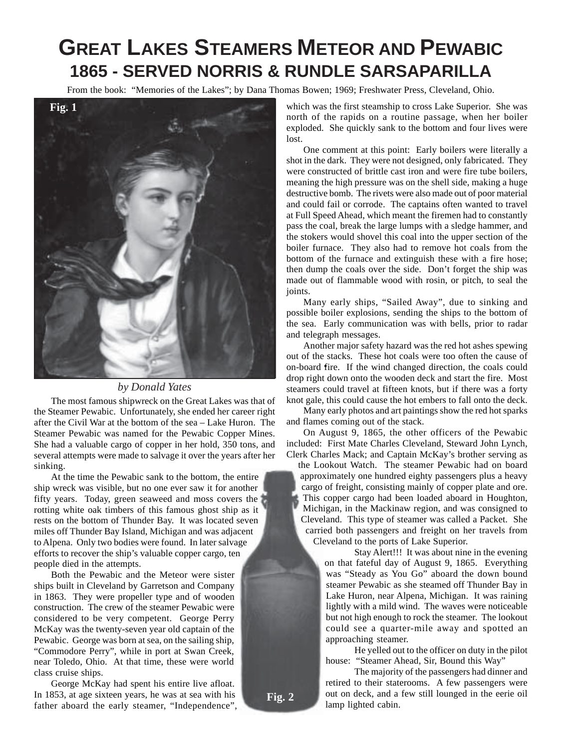# **GREAT LAKES STEAMERS METEOR AND PEWABIC 1865 - SERVED NORRIS & RUNDLE SARSAPARILLA**

From the book: "Memories of the Lakes"; by Dana Thomas Bowen; 1969; Freshwater Press, Cleveland, Ohio.



## *by Donald Yates*

The most famous shipwreck on the Great Lakes was that of the Steamer Pewabic. Unfortunately, she ended her career right after the Civil War at the bottom of the sea – Lake Huron. The Steamer Pewabic was named for the Pewabic Copper Mines. She had a valuable cargo of copper in her hold, 350 tons, and several attempts were made to salvage it over the years after her sinking.

At the time the Pewabic sank to the bottom, the entire ship wreck was visible, but no one ever saw it for another fifty years. Today, green seaweed and moss covers the rotting white oak timbers of this famous ghost ship as it rests on the bottom of Thunder Bay. It was located seven miles off Thunder Bay Island, Michigan and was adjacent to Alpena. Only two bodies were found. In later salvage efforts to recover the ship's valuable copper cargo, ten people died in the attempts.

Both the Pewabic and the Meteor were sister ships built in Cleveland by Garretson and Company in 1863. They were propeller type and of wooden construction. The crew of the steamer Pewabic were considered to be very competent. George Perry McKay was the twenty-seven year old captain of the Pewabic. George was born at sea, on the sailing ship, "Commodore Perry", while in port at Swan Creek, near Toledo, Ohio. At that time, these were world class cruise ships.

George McKay had spent his entire live afloat. In 1853, at age sixteen years, he was at sea with his father aboard the early steamer, "Independence",

which was the first steamship to cross Lake Superior. She was north of the rapids on a routine passage, when her boiler exploded. She quickly sank to the bottom and four lives were lost.

One comment at this point: Early boilers were literally a shot in the dark. They were not designed, only fabricated. They were constructed of brittle cast iron and were fire tube boilers, meaning the high pressure was on the shell side, making a huge destructive bomb. The rivets were also made out of poor material and could fail or corrode. The captains often wanted to travel at Full Speed Ahead, which meant the firemen had to constantly pass the coal, break the large lumps with a sledge hammer, and the stokers would shovel this coal into the upper section of the boiler furnace. They also had to remove hot coals from the bottom of the furnace and extinguish these with a fire hose; then dump the coals over the side. Don't forget the ship was made out of flammable wood with rosin, or pitch, to seal the joints.

Many early ships, "Sailed Away", due to sinking and possible boiler explosions, sending the ships to the bottom of the sea. Early communication was with bells, prior to radar and telegraph messages.

Another major safety hazard was the red hot ashes spewing out of the stacks. These hot coals were too often the cause of on-board fire. If the wind changed direction, the coals could drop right down onto the wooden deck and start the fire. Most steamers could travel at fifteen knots, but if there was a forty knot gale, this could cause the hot embers to fall onto the deck.

Many early photos and art paintings show the red hot sparks and flames coming out of the stack.

On August 9, 1865, the other officers of the Pewabic included: First Mate Charles Cleveland, Steward John Lynch, Clerk Charles Mack; and Captain McKay's brother serving as

the Lookout Watch. The steamer Pewabic had on board approximately one hundred eighty passengers plus a heavy cargo of freight, consisting mainly of copper plate and ore. This copper cargo had been loaded aboard in Houghton, Michigan, in the Mackinaw region, and was consigned to Cleveland. This type of steamer was called a Packet. She carried both passengers and freight on her travels from Cleveland to the ports of Lake Superior.

> Stay Alert!!! It was about nine in the evening on that fateful day of August 9, 1865. Everything was "Steady as You Go" aboard the down bound steamer Pewabic as she steamed off Thunder Bay in Lake Huron, near Alpena, Michigan. It was raining lightly with a mild wind. The waves were noticeable but not high enough to rock the steamer. The lookout could see a quarter-mile away and spotted an approaching steamer.

> He yelled out to the officer on duty in the pilot house: "Steamer Ahead, Sir, Bound this Way"

> The majority of the passengers had dinner and retired to their staterooms. A few passengers were out on deck, and a few still lounged in the eerie oil lamp lighted cabin.

**Fig. 2**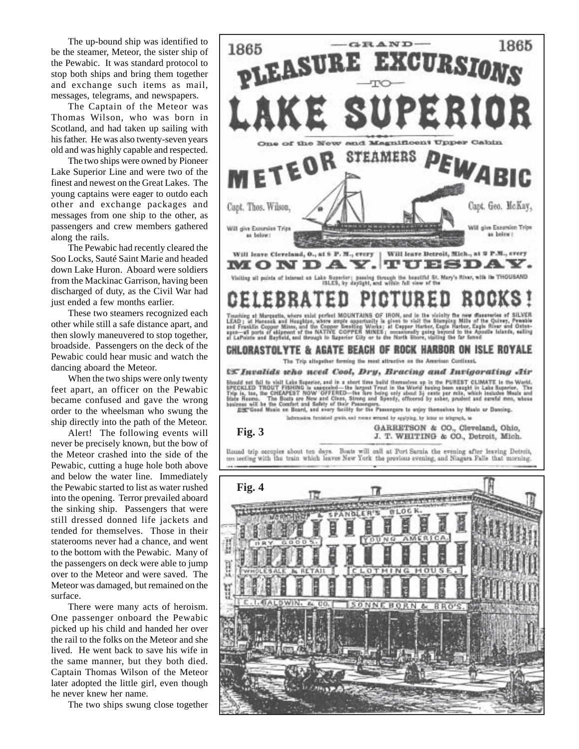The up-bound ship was identified to be the steamer, Meteor, the sister ship of the Pewabic. It was standard protocol to stop both ships and bring them together and exchange such items as mail, messages, telegrams, and newspapers.

The Captain of the Meteor was Thomas Wilson, who was born in Scotland, and had taken up sailing with his father. He was also twenty-seven years old and was highly capable and respected.

The two ships were owned by Pioneer Lake Superior Line and were two of the finest and newest on the Great Lakes. The young captains were eager to outdo each other and exchange packages and messages from one ship to the other, as passengers and crew members gathered along the rails.

The Pewabic had recently cleared the Soo Locks, Sauté Saint Marie and headed down Lake Huron. Aboard were soldiers from the Mackinac Garrison, having been discharged of duty, as the Civil War had just ended a few months earlier.

These two steamers recognized each other while still a safe distance apart, and then slowly maneuvered to stop together, broadside. Passengers on the deck of the Pewabic could hear music and watch the dancing aboard the Meteor.

When the two ships were only twenty feet apart, an officer on the Pewabic became confused and gave the wrong order to the wheelsman who swung the ship directly into the path of the Meteor.

Alert! The following events will never be precisely known, but the bow of the Meteor crashed into the side of the Pewabic, cutting a huge hole both above and below the water line. Immediately the Pewabic started to list as water rushed into the opening. Terror prevailed aboard the sinking ship. Passengers that were still dressed donned life jackets and tended for themselves. Those in their staterooms never had a chance, and went to the bottom with the Pewabic. Many of the passengers on deck were able to jump over to the Meteor and were saved. The Meteor was damaged, but remained on the surface.

There were many acts of heroism. One passenger onboard the Pewabic picked up his child and handed her over the rail to the folks on the Meteor and she lived. He went back to save his wife in the same manner, but they both died. Captain Thomas Wilson of the Meteor later adopted the little girl, even though he never knew her name.

The two ships swung close together

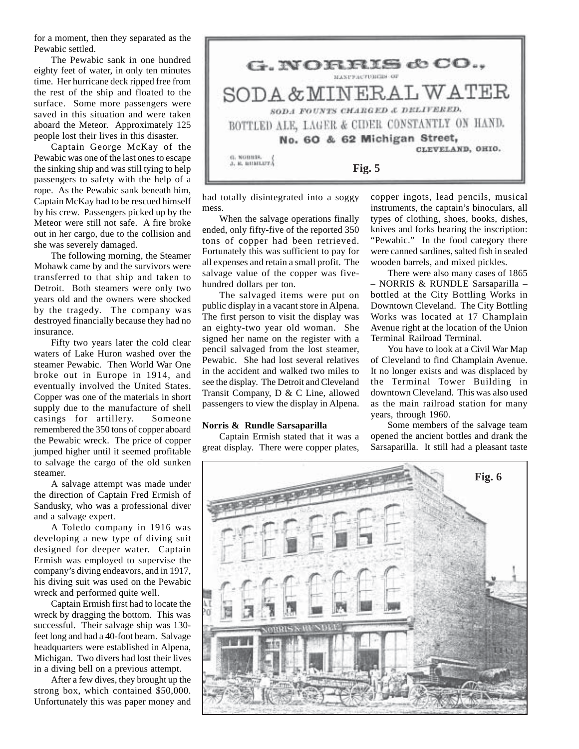for a moment, then they separated as the Pewabic settled.

The Pewabic sank in one hundred eighty feet of water, in only ten minutes time. Her hurricane deck ripped free from the rest of the ship and floated to the surface. Some more passengers were saved in this situation and were taken aboard the Meteor. Approximately 125 people lost their lives in this disaster.

Captain George McKay of the Pewabic was one of the last ones to escape the sinking ship and was still tying to help passengers to safety with the help of a rope. As the Pewabic sank beneath him, Captain McKay had to be rescued himself by his crew. Passengers picked up by the Meteor were still not safe. A fire broke out in her cargo, due to the collision and she was severely damaged.

The following morning, the Steamer Mohawk came by and the survivors were transferred to that ship and taken to Detroit. Both steamers were only two years old and the owners were shocked by the tragedy. The company was destroyed financially because they had no insurance.

Fifty two years later the cold clear waters of Lake Huron washed over the steamer Pewabic. Then World War One broke out in Europe in 1914, and eventually involved the United States. Copper was one of the materials in short supply due to the manufacture of shell casings for artillery. Someone remembered the 350 tons of copper aboard the Pewabic wreck. The price of copper jumped higher until it seemed profitable to salvage the cargo of the old sunken steamer.

A salvage attempt was made under the direction of Captain Fred Ermish of Sandusky, who was a professional diver and a salvage expert.

A Toledo company in 1916 was developing a new type of diving suit designed for deeper water. Captain Ermish was employed to supervise the company's diving endeavors, and in 1917, his diving suit was used on the Pewabic wreck and performed quite well.

Captain Ermish first had to locate the wreck by dragging the bottom. This was successful. Their salvage ship was 130 feet long and had a 40-foot beam. Salvage headquarters were established in Alpena, Michigan. Two divers had lost their lives in a diving bell on a previous attempt.

After a few dives, they brought up the strong box, which contained \$50,000. Unfortunately this was paper money and



had totally disintegrated into a soggy mess.

When the salvage operations finally ended, only fifty-five of the reported 350 tons of copper had been retrieved. Fortunately this was sufficient to pay for all expenses and retain a small profit. The salvage value of the copper was fivehundred dollars per ton.

The salvaged items were put on public display in a vacant store in Alpena. The first person to visit the display was an eighty-two year old woman. She signed her name on the register with a pencil salvaged from the lost steamer, Pewabic. She had lost several relatives in the accident and walked two miles to see the display. The Detroit and Cleveland Transit Company, D & C Line, allowed passengers to view the display in Alpena.

### **Norris & Rundle Sarsaparilla**

Captain Ermish stated that it was a great display. There were copper plates,

copper ingots, lead pencils, musical instruments, the captain's binoculars, all types of clothing, shoes, books, dishes, knives and forks bearing the inscription: "Pewabic." In the food category there were canned sardines, salted fish in sealed wooden barrels, and mixed pickles.

There were also many cases of 1865 – NORRIS & RUNDLE Sarsaparilla – bottled at the City Bottling Works in Downtown Cleveland. The City Bottling Works was located at 17 Champlain Avenue right at the location of the Union Terminal Railroad Terminal.

You have to look at a Civil War Map of Cleveland to find Champlain Avenue. It no longer exists and was displaced by the Terminal Tower Building in downtown Cleveland. This was also used as the main railroad station for many years, through 1960.

Some members of the salvage team opened the ancient bottles and drank the Sarsaparilla. It still had a pleasant taste

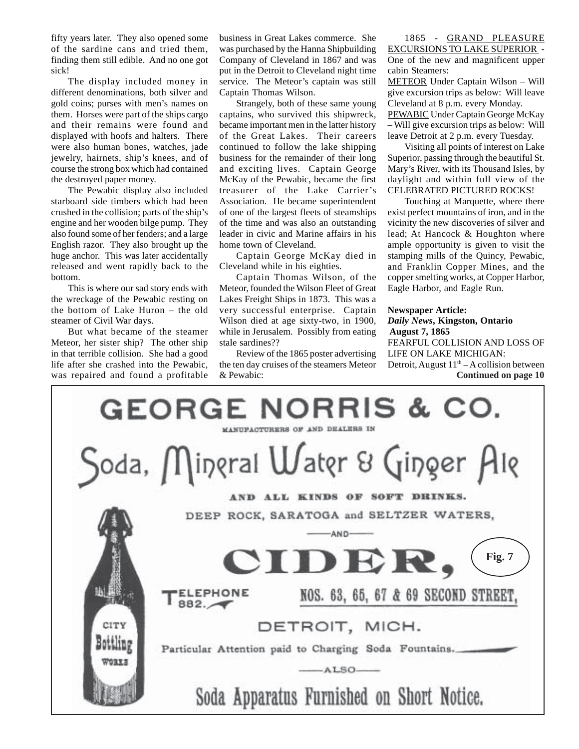fifty years later. They also opened some of the sardine cans and tried them, finding them still edible. And no one got sick!

The display included money in different denominations, both silver and gold coins; purses with men's names on them. Horses were part of the ships cargo and their remains were found and displayed with hoofs and halters. There were also human bones, watches, jade jewelry, hairnets, ship's knees, and of course the strong box which had contained the destroyed paper money.

The Pewabic display also included starboard side timbers which had been crushed in the collision; parts of the ship's engine and her wooden bilge pump. They also found some of her fenders; and a large English razor. They also brought up the huge anchor. This was later accidentally released and went rapidly back to the bottom.

This is where our sad story ends with the wreckage of the Pewabic resting on the bottom of Lake Huron – the old steamer of Civil War days.

But what became of the steamer Meteor, her sister ship? The other ship in that terrible collision. She had a good life after she crashed into the Pewabic, was repaired and found a profitable business in Great Lakes commerce. She was purchased by the Hanna Shipbuilding Company of Cleveland in 1867 and was put in the Detroit to Cleveland night time service. The Meteor's captain was still Captain Thomas Wilson.

Strangely, both of these same young captains, who survived this shipwreck, became important men in the latter history of the Great Lakes. Their careers continued to follow the lake shipping business for the remainder of their long and exciting lives. Captain George McKay of the Pewabic, became the first treasurer of the Lake Carrier's Association. He became superintendent of one of the largest fleets of steamships of the time and was also an outstanding leader in civic and Marine affairs in his home town of Cleveland.

Captain George McKay died in Cleveland while in his eighties.

Captain Thomas Wilson, of the Meteor, founded the Wilson Fleet of Great Lakes Freight Ships in 1873. This was a very successful enterprise. Captain Wilson died at age sixty-two, in 1900, while in Jerusalem. Possibly from eating stale sardines??

Review of the 1865 poster advertising the ten day cruises of the steamers Meteor & Pewabic:

1865 - GRAND PLEASURE EXCURSIONS TO LAKE SUPERIOR - One of the new and magnificent upper cabin Steamers:

METEOR Under Captain Wilson – Will give excursion trips as below: Will leave Cleveland at 8 p.m. every Monday.

PEWABIC Under Captain George McKay – Will give excursion trips as below: Will leave Detroit at 2 p.m. every Tuesday.

Visiting all points of interest on Lake Superior, passing through the beautiful St. Mary's River, with its Thousand Isles, by daylight and within full view of the CELEBRATED PICTURED ROCKS!

Touching at Marquette, where there exist perfect mountains of iron, and in the vicinity the new discoveries of silver and lead; At Hancock & Houghton where ample opportunity is given to visit the stamping mills of the Quincy, Pewabic, and Franklin Copper Mines, and the copper smelting works, at Copper Harbor, Eagle Harbor, and Eagle Run.

## **Newspaper Article:**

*Daily News***, Kingston, Ontario August 7, 1865** FEARFUL COLLISION AND LOSS OF LIFE ON LAKE MICHIGAN: Detroit, August  $11<sup>th</sup> - A$  collision between **Continued on page 10**